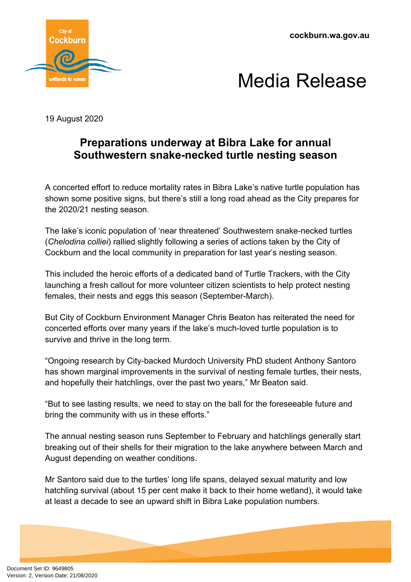**cockburn.wa.gov.au**





19 August 2020

## **Preparations underway at Bibra Lake for annual Southwestern snake-necked turtle nesting season**

A concerted effort to reduce mortality rates in Bibra Lake's native turtle population has shown some positive signs, but there's still a long road ahead as the City prepares for the 2020/21 nesting season.

The lake's iconic population of 'near threatened' Southwestern snake-necked turtles (*Chelodina colliei*) rallied slightly following a series of actions taken by the City of Cockburn and the local community in preparation for last year's nesting season.

This included the heroic efforts of a dedicated band of Turtle Trackers, with the City launching a fresh callout for more volunteer citizen scientists to help protect nesting females, their nests and eggs this season (September-March).

But City of Cockburn Environment Manager Chris Beaton has reiterated the need for concerted efforts over many years if the lake's much-loved turtle population is to survive and thrive in the long term.

"Ongoing research by City-backed Murdoch University PhD student Anthony Santoro has shown marginal improvements in the survival of nesting female turtles, their nests, and hopefully their hatchlings, over the past two years," Mr Beaton said.

"But to see lasting results, we need to stay on the ball for the foreseeable future and bring the community with us in these efforts."

The annual nesting season runs September to February and hatchlings generally start breaking out of their shells for their migration to the lake anywhere between March and August depending on weather conditions.

Mr Santoro said due to the turtles' long life spans, delayed sexual maturity and low hatchling survival (about 15 per cent make it back to their home wetland), it would take at least a decade to see an upward shift in Bibra Lake population numbers.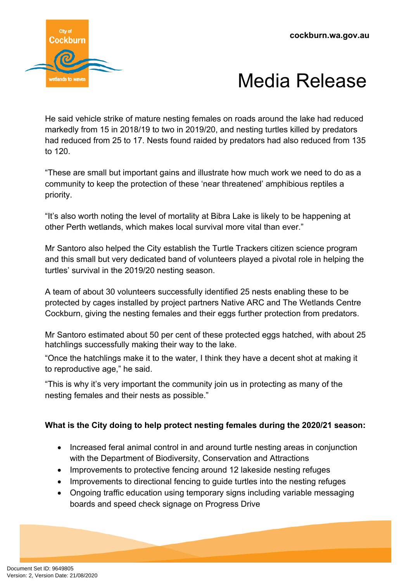

## Media Release

He said vehicle strike of mature nesting females on roads around the lake had reduced markedly from 15 in 2018/19 to two in 2019/20, and nesting turtles killed by predators had reduced from 25 to 17. Nests found raided by predators had also reduced from 135 to 120.

"These are small but important gains and illustrate how much work we need to do as a community to keep the protection of these 'near threatened' amphibious reptiles a priority.

"It's also worth noting the level of mortality at Bibra Lake is likely to be happening at other Perth wetlands, which makes local survival more vital than ever."

Mr Santoro also helped the City establish the Turtle Trackers citizen science program and this small but very dedicated band of volunteers played a pivotal role in helping the turtles' survival in the 2019/20 nesting season.

A team of about 30 volunteers successfully identified 25 nests enabling these to be protected by cages installed by project partners Native ARC and The Wetlands Centre Cockburn, giving the nesting females and their eggs further protection from predators.

Mr Santoro estimated about 50 per cent of these protected eggs hatched, with about 25 hatchlings successfully making their way to the lake.

"Once the hatchlings make it to the water, I think they have a decent shot at making it to reproductive age," he said.

"This is why it's very important the community join us in protecting as many of the nesting females and their nests as possible."

## **What is the City doing to help protect nesting females during the 2020/21 season:**

- Increased feral animal control in and around turtle nesting areas in conjunction with the Department of Biodiversity, Conservation and Attractions
- Improvements to protective fencing around 12 lakeside nesting refuges
- Improvements to directional fencing to guide turtles into the nesting refuges
- Ongoing traffic education using temporary signs including variable messaging boards and speed check signage on Progress Drive